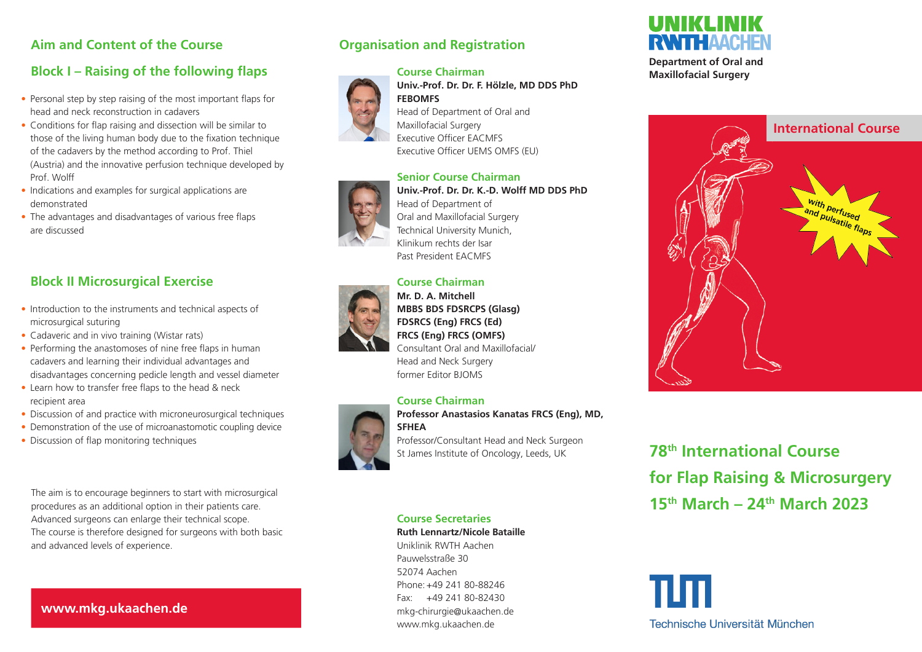# **Aim and Content of the Course**

# **Block I – Raising of the following flaps**

- Personal step by step raising of the most important flaps for head and neck reconstruction in cadavers
- Conditions for flap raising and dissection will be similar to those of the living human body due to the fixation technique of the cadavers by the method according to Prof. Thiel (Austria) and the innovative perfusion technique developed by Prof. Wolff
- Indications and examples for surgical applications are demonstrated
- The advantages and disadvantages of various free flaps are discussed

# **Block II Microsurgical Exercise**

- Introduction to the instruments and technical aspects of microsurgical suturing
- Cadaveric and in vivo training (Wistar rats)
- Performing the anastomoses of nine free flaps in human cadavers and learning their individual advantages and disadvantages concerning pedicle length and vessel diameter
- Learn how to transfer free flaps to the head & neck recipient area
- Discussion of and practice with microneurosurgical techniques
- Demonstration of the use of microanastomotic coupling device
- Discussion of flap monitoring techniques

The aim is to encourage beginners to start with microsurgical procedures as an additional option in their patients care. Advanced surgeons can enlarge their technical scope. The course is therefore designed for surgeons with both basic and advanced levels of experience.

# **www.mkg.ukaachen.de**

# **Organisation and Registration**



#### **Senior Course Chairman Univ.-Prof. Dr. Dr. K.-D. Wolff MD DDS PhD** Head of Department of Oral and Maxillofacial Surgery Technical University Munich, Klinikum rechts der Isar

#### **Course Chairman Mr. D. A. Mitchell MBBS BDS FDSRCPS (Glasg) FDSRCS (Eng) FRCS (Ed) FRCS (Eng) FRCS (OMFS)** Consultant Oral and Maxillofacial/ Head and Neck Surgery former Editor BJOMS

## **Course Chairman**

Past President EACMFS



## **Professor Anastasios Kanatas FRCS (Eng), MD, SFHEA**

Professor/Consultant Head and Neck Surgeon St James Institute of Oncology, Leeds, UK

## **Course Secretaries**

#### **Ruth Lennartz/Nicole Bataille**

Uniklinik RWTH Aachen Pauwelsstraße 30 52074 Aachen Phone:+49 241 80-88246 Fax: +49 241 80-82430 mkg-chirurgie@ukaachen.de www.mkg.ukaachen.de



**Department of Oral and Maxillofacial Surgery**



**78th International Course for Flap Raising & Microsurgery 15th March – 24th March 2023** 

Technische Universität München